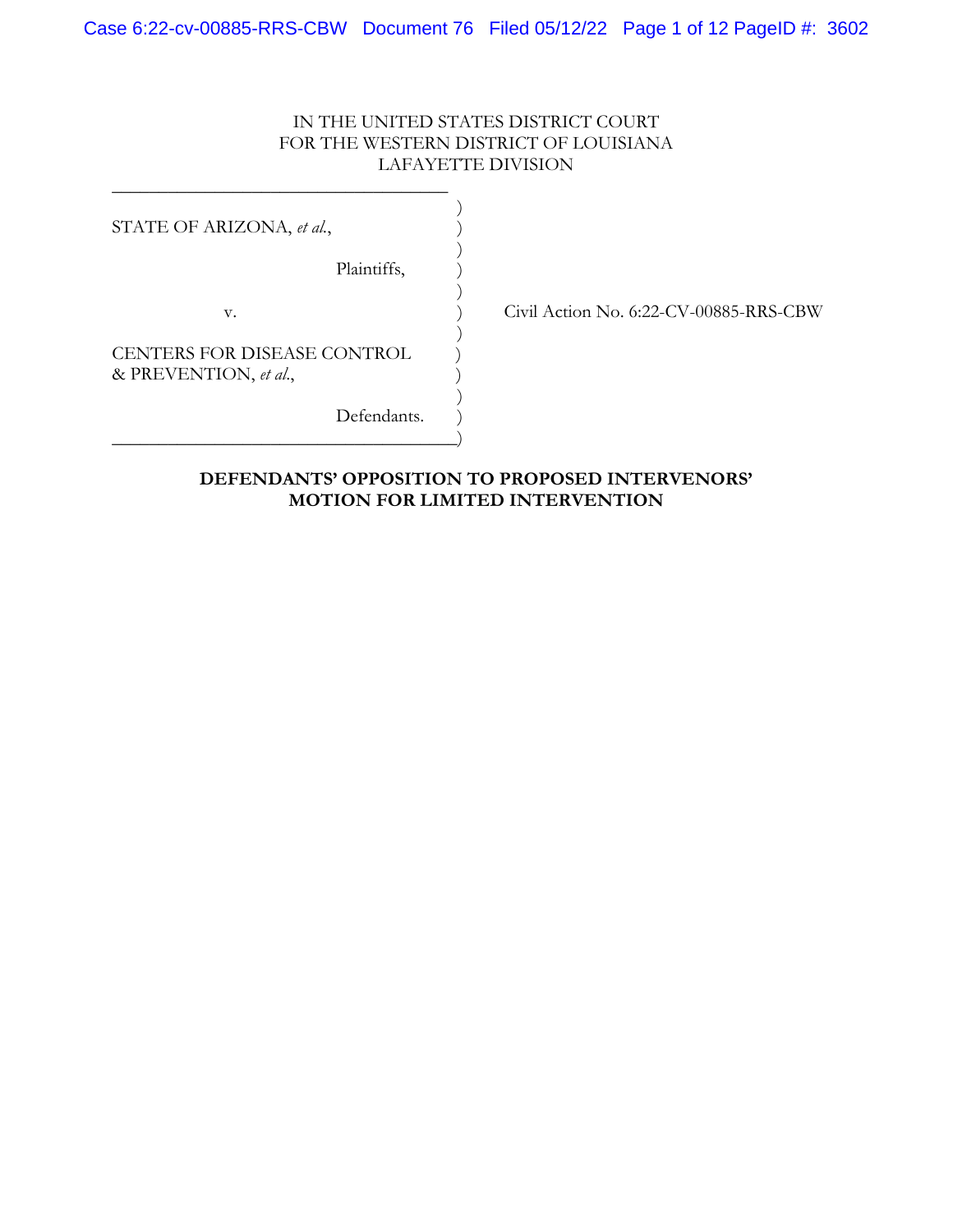## IN THE UNITED STATES DISTRICT COURT FOR THE WESTERN DISTRICT OF LOUISIANA LAFAYETTE DIVISION

STATE OF ARIZONA, *et al.*,

Plaintiffs,

v. ) Civil Action No. 6:22-CV-00885-RRS-CBW

CENTERS FOR DISEASE CONTROL & PREVENTION, *et al*., )

\_\_\_\_\_\_\_\_\_\_\_\_\_\_\_\_\_\_\_\_\_\_\_\_\_\_\_\_\_\_\_\_\_\_\_\_  $)$ 

 $)$ 

 $)$ 

 $)$ 

 $)$ 

\_\_\_\_\_\_\_\_\_\_\_\_\_\_\_\_\_\_\_\_\_\_\_\_\_\_\_\_\_\_\_\_\_\_\_\_\_)

Defendants.

## **DEFENDANTS' OPPOSITION TO PROPOSED INTERVENORS' MOTION FOR LIMITED INTERVENTION**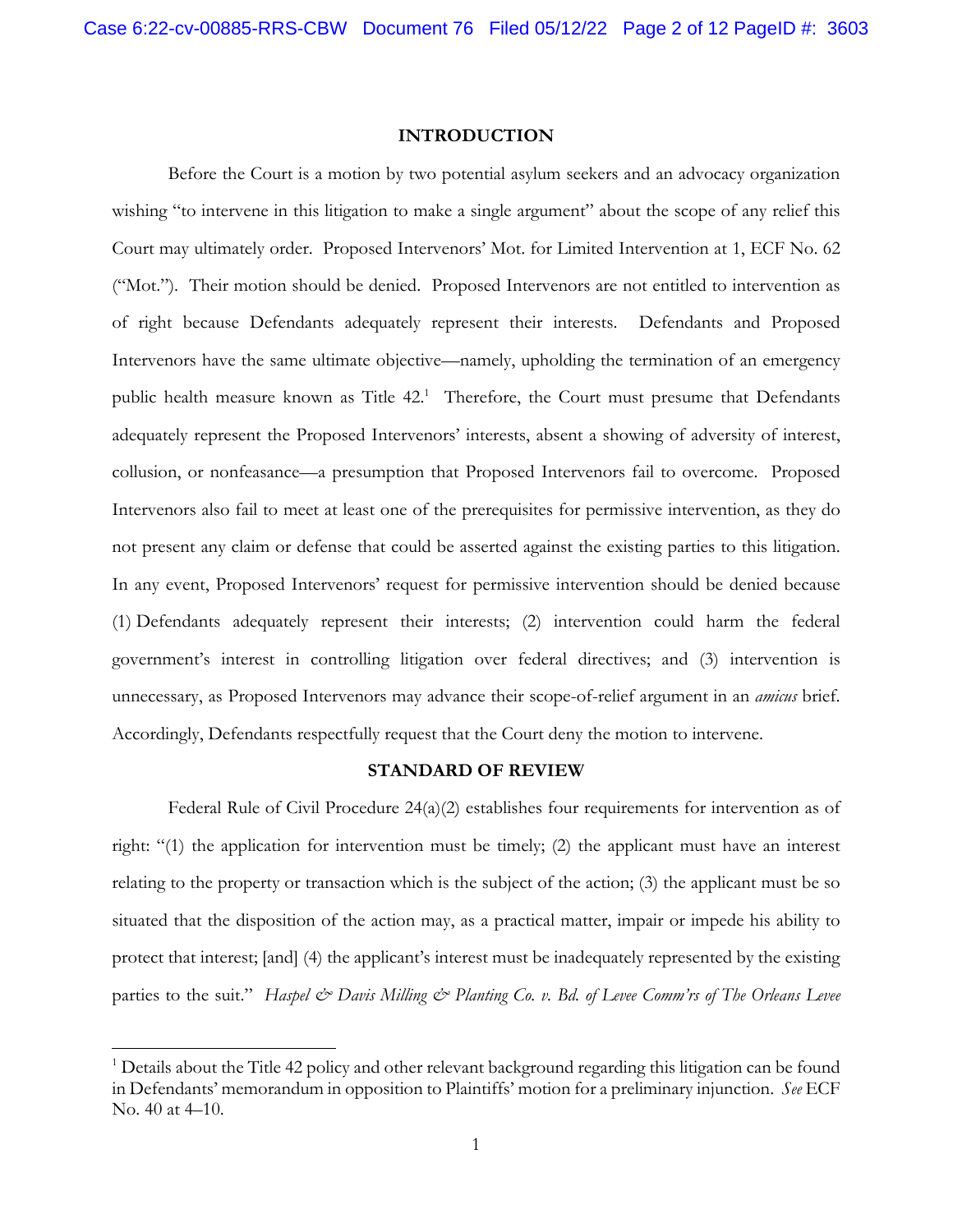### **INTRODUCTION**

Before the Court is a motion by two potential asylum seekers and an advocacy organization wishing "to intervene in this litigation to make a single argument" about the scope of any relief this Court may ultimately order. Proposed Intervenors' Mot. for Limited Intervention at 1, ECF No. 62 ("Mot."). Their motion should be denied. Proposed Intervenors are not entitled to intervention as of right because Defendants adequately represent their interests. Defendants and Proposed Intervenors have the same ultimate objective—namely, upholding the termination of an emergency public health measure known as Title 42.<sup>1</sup> Therefore, the Court must presume that Defendants adequately represent the Proposed Intervenors' interests, absent a showing of adversity of interest, collusion, or nonfeasance—a presumption that Proposed Intervenors fail to overcome. Proposed Intervenors also fail to meet at least one of the prerequisites for permissive intervention, as they do not present any claim or defense that could be asserted against the existing parties to this litigation. In any event, Proposed Intervenors' request for permissive intervention should be denied because (1) Defendants adequately represent their interests; (2) intervention could harm the federal government's interest in controlling litigation over federal directives; and (3) intervention is unnecessary, as Proposed Intervenors may advance their scope-of-relief argument in an *amicus* brief. Accordingly, Defendants respectfully request that the Court deny the motion to intervene.

#### **STANDARD OF REVIEW**

Federal Rule of Civil Procedure  $24(a)(2)$  establishes four requirements for intervention as of right: "(1) the application for intervention must be timely; (2) the applicant must have an interest relating to the property or transaction which is the subject of the action; (3) the applicant must be so situated that the disposition of the action may, as a practical matter, impair or impede his ability to protect that interest; [and] (4) the applicant's interest must be inadequately represented by the existing parties to the suit." *Haspel & Davis Milling & Planting Co. v. Bd. of Levee Comm'rs of The Orleans Levee* 

 $\overline{a}$ 

<sup>&</sup>lt;sup>1</sup> Details about the Title 42 policy and other relevant background regarding this litigation can be found in Defendants' memorandum in opposition to Plaintiffs' motion for a preliminary injunction. *See* ECF No. 40 at 4–10.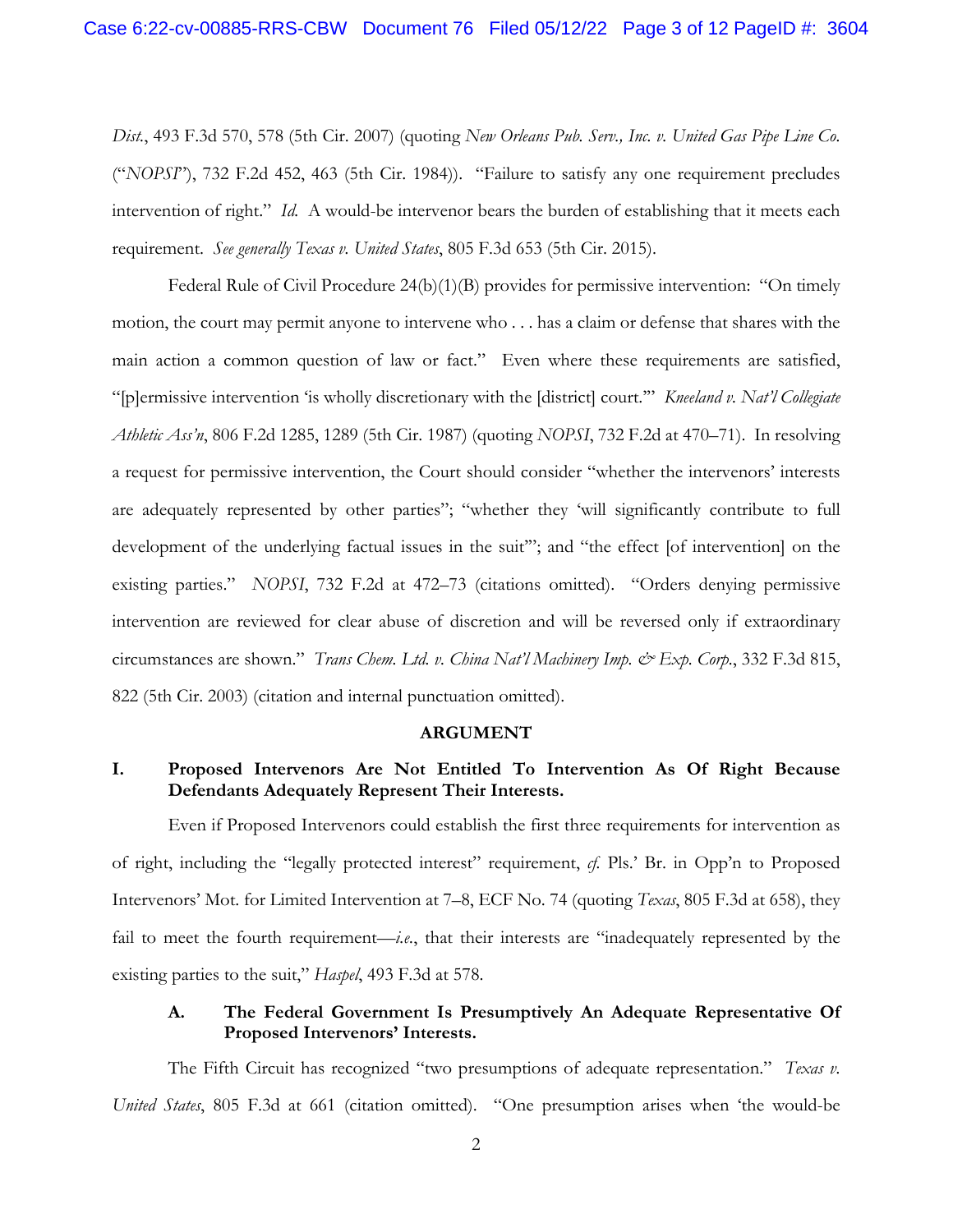*Dist.*, 493 F.3d 570, 578 (5th Cir. 2007) (quoting *New Orleans Pub. Serv., Inc. v. United Gas Pipe Line Co.*  ("*NOPSI*"), 732 F.2d 452, 463 (5th Cir. 1984)). "Failure to satisfy any one requirement precludes intervention of right." *Id.* A would-be intervenor bears the burden of establishing that it meets each requirement. *See generally Texas v. United States*, 805 F.3d 653 (5th Cir. 2015).

Federal Rule of Civil Procedure 24(b)(1)(B) provides for permissive intervention: "On timely motion, the court may permit anyone to intervene who . . . has a claim or defense that shares with the main action a common question of law or fact." Even where these requirements are satisfied, "[p]ermissive intervention 'is wholly discretionary with the [district] court.'" *Kneeland v. Nat'l Collegiate Athletic Ass'n*, 806 F.2d 1285, 1289 (5th Cir. 1987) (quoting *NOPSI*, 732 F.2d at 470–71). In resolving a request for permissive intervention, the Court should consider "whether the intervenors' interests are adequately represented by other parties"; "whether they 'will significantly contribute to full development of the underlying factual issues in the suit"'; and "the effect [of intervention] on the existing parties." *NOPSI*, 732 F.2d at 472–73 (citations omitted). "Orders denying permissive intervention are reviewed for clear abuse of discretion and will be reversed only if extraordinary circumstances are shown." *Trans Chem. Ltd. v. China Nat'l Machinery Imp. & Exp. Corp.*, 332 F.3d 815, 822 (5th Cir. 2003) (citation and internal punctuation omitted).

#### **ARGUMENT**

## **I. Proposed Intervenors Are Not Entitled To Intervention As Of Right Because Defendants Adequately Represent Their Interests.**

Even if Proposed Intervenors could establish the first three requirements for intervention as of right, including the "legally protected interest" requirement, *cf.* Pls.' Br. in Opp'n to Proposed Intervenors' Mot. for Limited Intervention at 7–8, ECF No. 74 (quoting *Texas*, 805 F.3d at 658), they fail to meet the fourth requirement—*i.e.*, that their interests are "inadequately represented by the existing parties to the suit," *Haspel*, 493 F.3d at 578.

## **A. The Federal Government Is Presumptively An Adequate Representative Of Proposed Intervenors' Interests.**

 The Fifth Circuit has recognized "two presumptions of adequate representation." *Texas v. United States*, 805 F.3d at 661 (citation omitted). "One presumption arises when 'the would-be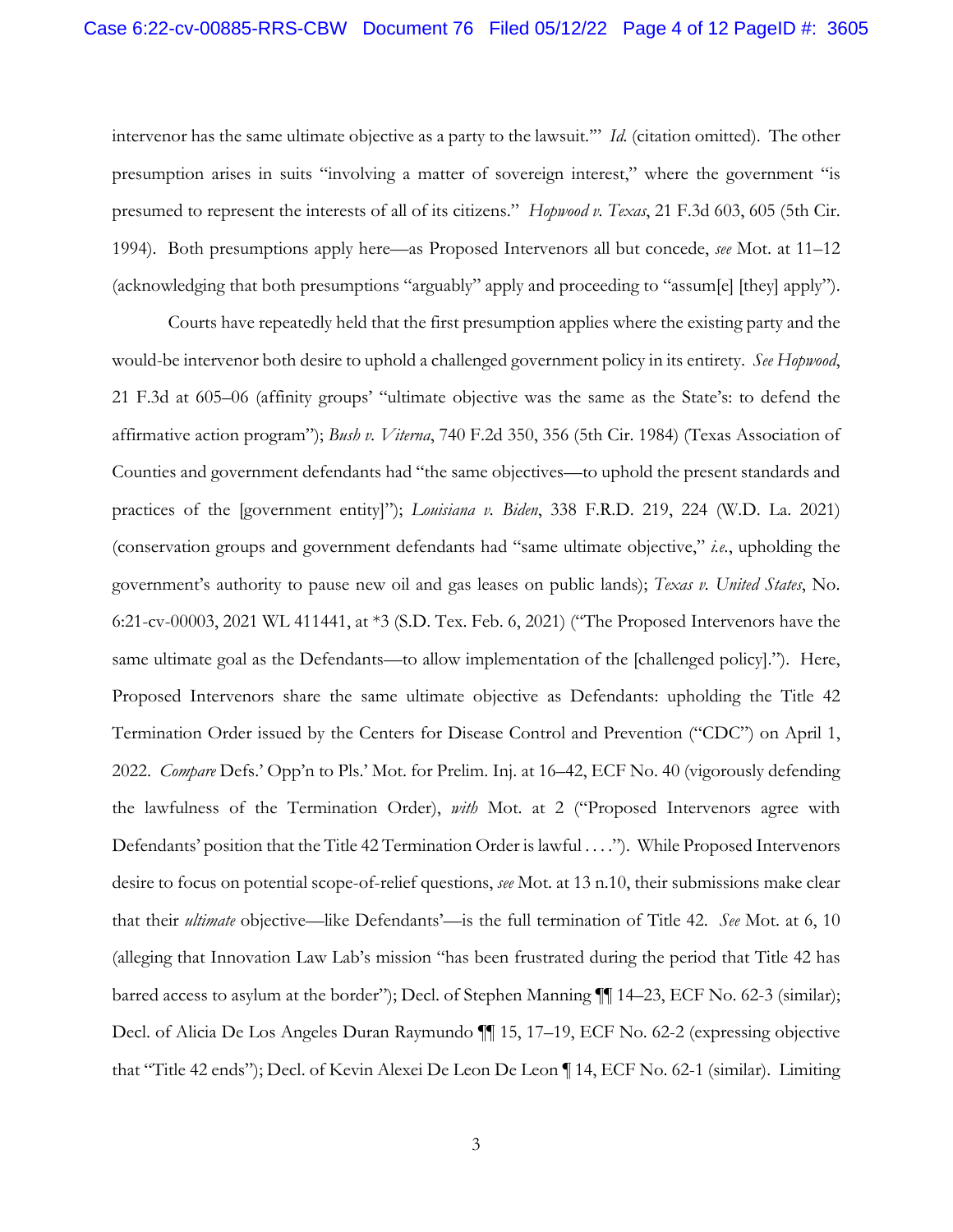intervenor has the same ultimate objective as a party to the lawsuit.'" *Id.* (citation omitted). The other presumption arises in suits "involving a matter of sovereign interest," where the government "is presumed to represent the interests of all of its citizens." *Hopwood v. Texas*, 21 F.3d 603, 605 (5th Cir. 1994). Both presumptions apply here—as Proposed Intervenors all but concede, *see* Mot. at 11–12 (acknowledging that both presumptions "arguably" apply and proceeding to "assum[e] [they] apply").

 Courts have repeatedly held that the first presumption applies where the existing party and the would-be intervenor both desire to uphold a challenged government policy in its entirety. *See Hopwood*, 21 F.3d at 605–06 (affinity groups' "ultimate objective was the same as the State's: to defend the affirmative action program"); *Bush v. Viterna*, 740 F.2d 350, 356 (5th Cir. 1984) (Texas Association of Counties and government defendants had "the same objectives—to uphold the present standards and practices of the [government entity]"); *Louisiana v. Biden*, 338 F.R.D. 219, 224 (W.D. La. 2021) (conservation groups and government defendants had "same ultimate objective," *i.e.*, upholding the government's authority to pause new oil and gas leases on public lands); *Texas v. United States*, No. 6:21-cv-00003, 2021 WL 411441, at \*3 (S.D. Tex. Feb. 6, 2021) ("The Proposed Intervenors have the same ultimate goal as the Defendants—to allow implementation of the [challenged policy]."). Here, Proposed Intervenors share the same ultimate objective as Defendants: upholding the Title 42 Termination Order issued by the Centers for Disease Control and Prevention ("CDC") on April 1, 2022. *Compare* Defs.' Opp'n to Pls.' Mot. for Prelim. Inj. at 16–42, ECF No. 40 (vigorously defending the lawfulness of the Termination Order), *with* Mot. at 2 ("Proposed Intervenors agree with Defendants' position that the Title 42 Termination Order is lawful . . . ."). While Proposed Intervenors desire to focus on potential scope-of-relief questions, *see* Mot. at 13 n.10, their submissions make clear that their *ultimate* objective—like Defendants'—is the full termination of Title 42. *See* Mot. at 6, 10 (alleging that Innovation Law Lab's mission "has been frustrated during the period that Title 42 has barred access to asylum at the border"); Decl. of Stephen Manning ¶¶ 14–23, ECF No. 62-3 (similar); Decl. of Alicia De Los Angeles Duran Raymundo ¶¶ 15, 17–19, ECF No. 62-2 (expressing objective that "Title 42 ends"); Decl. of Kevin Alexei De Leon De Leon ¶ 14, ECF No. 62-1 (similar). Limiting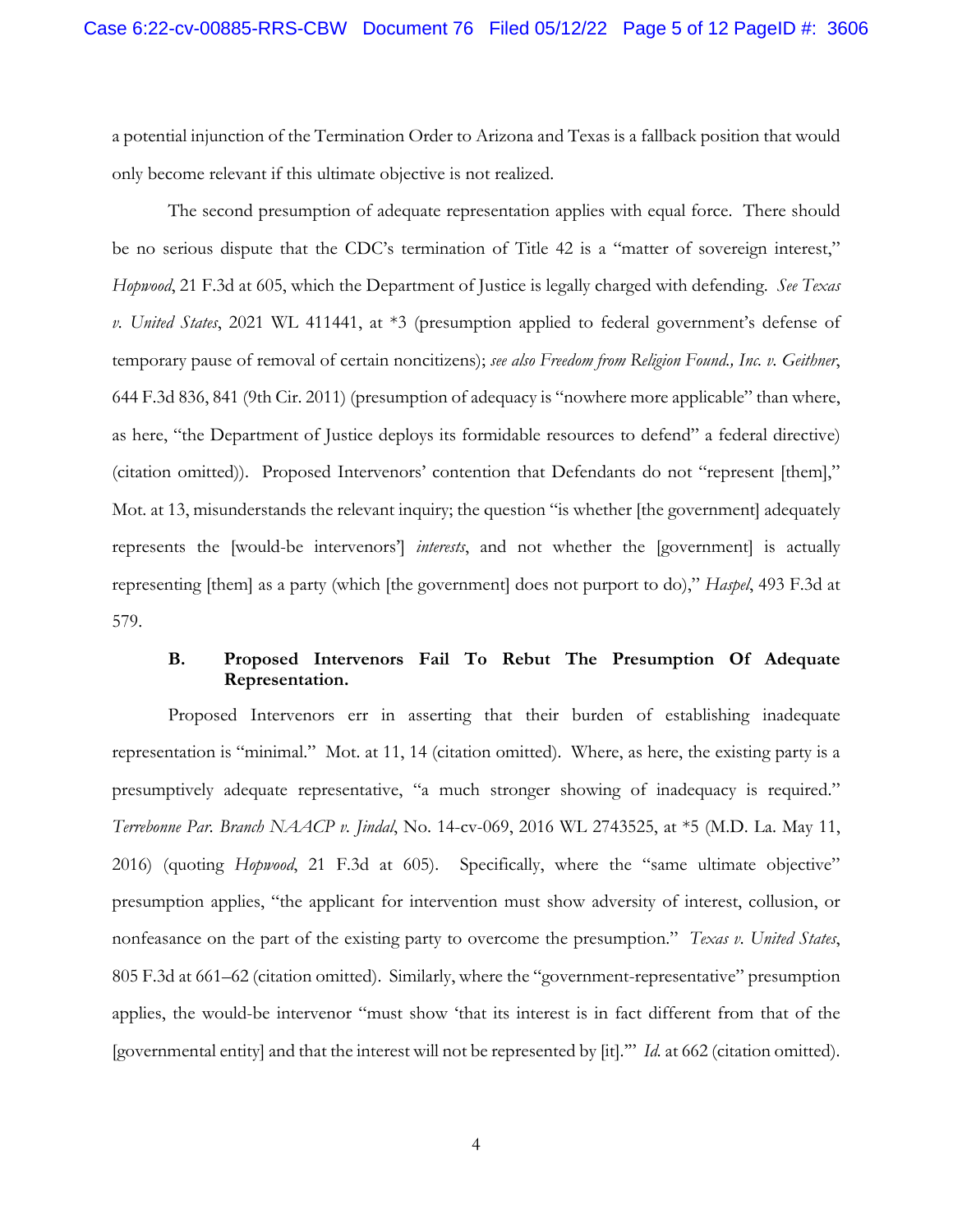a potential injunction of the Termination Order to Arizona and Texas is a fallback position that would only become relevant if this ultimate objective is not realized.

 The second presumption of adequate representation applies with equal force. There should be no serious dispute that the CDC's termination of Title 42 is a "matter of sovereign interest," *Hopwood*, 21 F.3d at 605, which the Department of Justice is legally charged with defending. *See Texas v. United States*, 2021 WL 411441, at \*3 (presumption applied to federal government's defense of temporary pause of removal of certain noncitizens); *see also Freedom from Religion Found., Inc. v. Geithner*, 644 F.3d 836, 841 (9th Cir. 2011) (presumption of adequacy is "nowhere more applicable" than where, as here, "the Department of Justice deploys its formidable resources to defend" a federal directive) (citation omitted)). Proposed Intervenors' contention that Defendants do not "represent [them]," Mot. at 13, misunderstands the relevant inquiry; the question "is whether [the government] adequately represents the [would-be intervenors'] *interests*, and not whether the [government] is actually representing [them] as a party (which [the government] does not purport to do)," *Haspel*, 493 F.3d at 579.

### **B. Proposed Intervenors Fail To Rebut The Presumption Of Adequate Representation.**

Proposed Intervenors err in asserting that their burden of establishing inadequate representation is "minimal." Mot. at 11, 14 (citation omitted). Where, as here, the existing party is a presumptively adequate representative, "a much stronger showing of inadequacy is required." *Terrebonne Par. Branch NAACP v. Jindal*, No. 14-cv-069, 2016 WL 2743525, at \*5 (M.D. La. May 11, 2016) (quoting *Hopwood*, 21 F.3d at 605). Specifically, where the "same ultimate objective" presumption applies, "the applicant for intervention must show adversity of interest, collusion, or nonfeasance on the part of the existing party to overcome the presumption." *Texas v. United States*, 805 F.3d at 661–62 (citation omitted). Similarly, where the "government-representative" presumption applies, the would-be intervenor "must show 'that its interest is in fact different from that of the [governmental entity] and that the interest will not be represented by [it].'" *Id.* at 662 (citation omitted).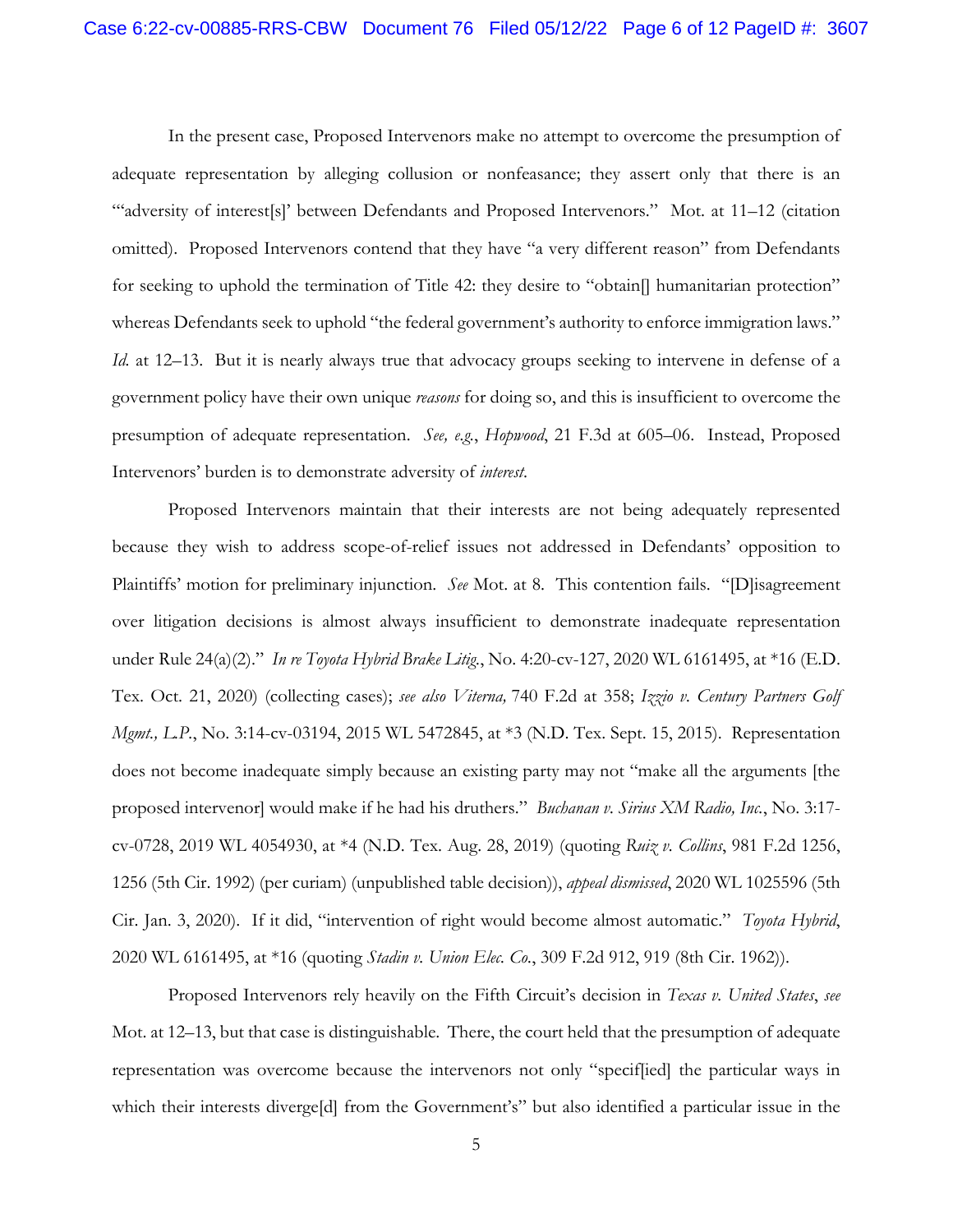In the present case, Proposed Intervenors make no attempt to overcome the presumption of adequate representation by alleging collusion or nonfeasance; they assert only that there is an "'adversity of interest[s]' between Defendants and Proposed Intervenors." Mot. at 11–12 (citation omitted). Proposed Intervenors contend that they have "a very different reason" from Defendants for seeking to uphold the termination of Title 42: they desire to "obtain. humanitarian protection" whereas Defendants seek to uphold "the federal government's authority to enforce immigration laws." *Id.* at 12–13. But it is nearly always true that advocacy groups seeking to intervene in defense of a government policy have their own unique *reasons* for doing so, and this is insufficient to overcome the presumption of adequate representation. *See, e.g.*, *Hopwood*, 21 F.3d at 605–06. Instead, Proposed Intervenors' burden is to demonstrate adversity of *interest*.

Proposed Intervenors maintain that their interests are not being adequately represented because they wish to address scope-of-relief issues not addressed in Defendants' opposition to Plaintiffs' motion for preliminary injunction. *See* Mot. at 8. This contention fails. "[D]isagreement over litigation decisions is almost always insufficient to demonstrate inadequate representation under Rule 24(a)(2)." *In re Toyota Hybrid Brake Litig.*, No. 4:20-cv-127, 2020 WL 6161495, at \*16 (E.D. Tex. Oct. 21, 2020) (collecting cases); *see also Viterna,* 740 F.2d at 358; *Izzio v. Century Partners Golf Mgmt., L.P.*, No. 3:14-cv-03194, 2015 WL 5472845, at \*3 (N.D. Tex. Sept. 15, 2015). Representation does not become inadequate simply because an existing party may not "make all the arguments [the proposed intervenor] would make if he had his druthers." *Buchanan v. Sirius XM Radio, Inc.*, No. 3:17 cv-0728, 2019 WL 4054930, at \*4 (N.D. Tex. Aug. 28, 2019) (quoting *Ruiz v. Collins*, 981 F.2d 1256, 1256 (5th Cir. 1992) (per curiam) (unpublished table decision)), *appeal dismissed*, 2020 WL 1025596 (5th Cir. Jan. 3, 2020). If it did, "intervention of right would become almost automatic." *Toyota Hybrid*, 2020 WL 6161495, at \*16 (quoting *Stadin v. Union Elec. Co.*, 309 F.2d 912, 919 (8th Cir. 1962)).

Proposed Intervenors rely heavily on the Fifth Circuit's decision in *Texas v. United States*, *see*  Mot. at 12–13, but that case is distinguishable. There, the court held that the presumption of adequate representation was overcome because the intervenors not only "specif[ied] the particular ways in which their interests diverge[d] from the Government's" but also identified a particular issue in the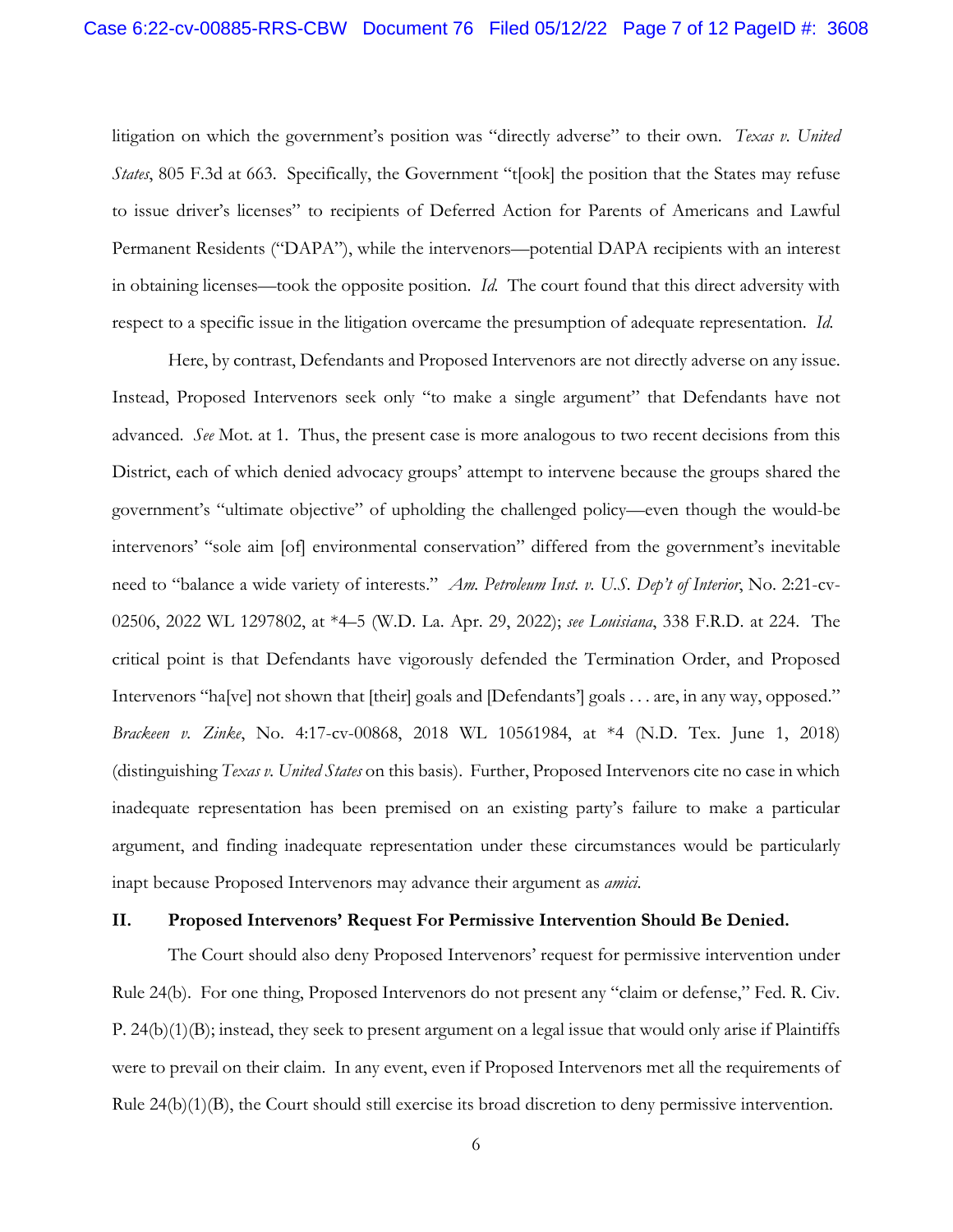litigation on which the government's position was "directly adverse" to their own. *Texas v. United States*, 805 F.3d at 663. Specifically, the Government "t[ook] the position that the States may refuse to issue driver's licenses" to recipients of Deferred Action for Parents of Americans and Lawful Permanent Residents ("DAPA"), while the intervenors—potential DAPA recipients with an interest in obtaining licenses—took the opposite position. *Id.* The court found that this direct adversity with respect to a specific issue in the litigation overcame the presumption of adequate representation. *Id.*

Here, by contrast, Defendants and Proposed Intervenors are not directly adverse on any issue. Instead, Proposed Intervenors seek only "to make a single argument" that Defendants have not advanced. *See* Mot. at 1. Thus, the present case is more analogous to two recent decisions from this District, each of which denied advocacy groups' attempt to intervene because the groups shared the government's "ultimate objective" of upholding the challenged policy—even though the would-be intervenors' "sole aim [of] environmental conservation" differed from the government's inevitable need to "balance a wide variety of interests." *Am. Petroleum Inst. v. U.S. Dep't of Interior*, No. 2:21-cv-02506, 2022 WL 1297802, at \*4–5 (W.D. La. Apr. 29, 2022); *see Louisiana*, 338 F.R.D. at 224. The critical point is that Defendants have vigorously defended the Termination Order, and Proposed Intervenors "ha[ve] not shown that [their] goals and [Defendants'] goals . . . are, in any way, opposed." *Brackeen v. Zinke*, No. 4:17-cv-00868, 2018 WL 10561984, at \*4 (N.D. Tex. June 1, 2018) (distinguishing *Texas v. United States* on this basis). Further, Proposed Intervenors cite no case in which inadequate representation has been premised on an existing party's failure to make a particular argument, and finding inadequate representation under these circumstances would be particularly inapt because Proposed Intervenors may advance their argument as *amici*.

#### **II. Proposed Intervenors' Request For Permissive Intervention Should Be Denied.**

The Court should also deny Proposed Intervenors' request for permissive intervention under Rule 24(b). For one thing, Proposed Intervenors do not present any "claim or defense," Fed. R. Civ. P. 24(b)(1)(B); instead, they seek to present argument on a legal issue that would only arise if Plaintiffs were to prevail on their claim. In any event, even if Proposed Intervenors met all the requirements of Rule 24(b)(1)(B), the Court should still exercise its broad discretion to deny permissive intervention.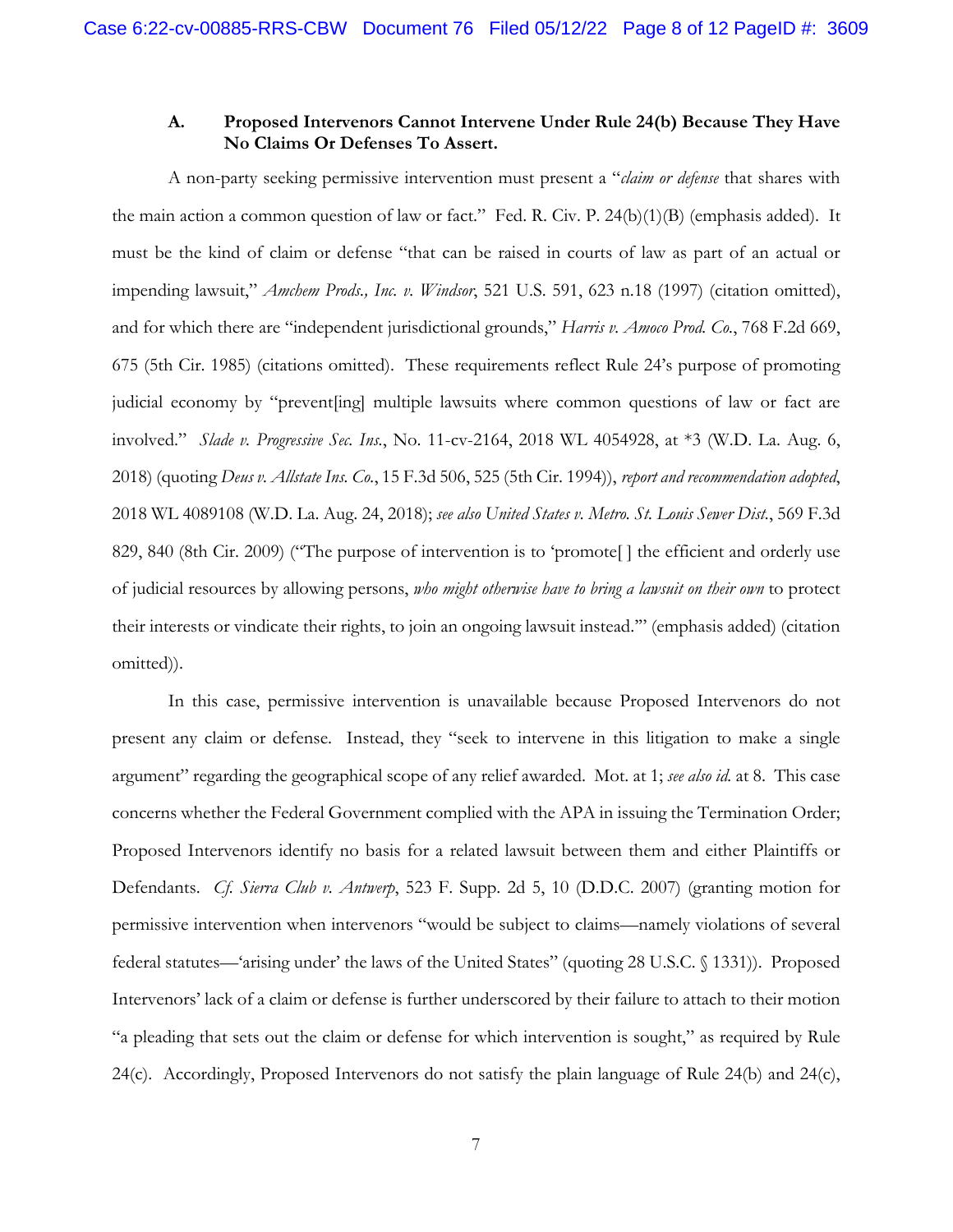## **A. Proposed Intervenors Cannot Intervene Under Rule 24(b) Because They Have No Claims Or Defenses To Assert.**

A non-party seeking permissive intervention must present a "*claim or defense* that shares with the main action a common question of law or fact." Fed. R. Civ. P. 24(b)(1)(B) (emphasis added). It must be the kind of claim or defense "that can be raised in courts of law as part of an actual or impending lawsuit," *Amchem Prods., Inc. v. Windsor*, 521 U.S. 591, 623 n.18 (1997) (citation omitted), and for which there are "independent jurisdictional grounds," *Harris v. Amoco Prod. Co.*, 768 F.2d 669, 675 (5th Cir. 1985) (citations omitted). These requirements reflect Rule 24's purpose of promoting judicial economy by "prevent [ing] multiple lawsuits where common questions of law or fact are involved." *Slade v. Progressive Sec. Ins.*, No. 11-cv-2164, 2018 WL 4054928, at \*3 (W.D. La. Aug. 6, 2018) (quoting *Deus v. Allstate Ins. Co.*, 15 F.3d 506, 525 (5th Cir. 1994)), *report and recommendation adopted*, 2018 WL 4089108 (W.D. La. Aug. 24, 2018); *see also United States v. Metro. St. Louis Sewer Dist.*, 569 F.3d 829, 840 (8th Cir. 2009) ("The purpose of intervention is to 'promote[ ] the efficient and orderly use of judicial resources by allowing persons, *who might otherwise have to bring a lawsuit on their own* to protect their interests or vindicate their rights, to join an ongoing lawsuit instead.'" (emphasis added) (citation omitted)).

In this case, permissive intervention is unavailable because Proposed Intervenors do not present any claim or defense. Instead, they "seek to intervene in this litigation to make a single argument" regarding the geographical scope of any relief awarded. Mot. at 1; *see also id.* at 8. This case concerns whether the Federal Government complied with the APA in issuing the Termination Order; Proposed Intervenors identify no basis for a related lawsuit between them and either Plaintiffs or Defendants. *Cf. Sierra Club v. Antwerp*, 523 F. Supp. 2d 5, 10 (D.D.C. 2007) (granting motion for permissive intervention when intervenors "would be subject to claims—namely violations of several federal statutes—'arising under' the laws of the United States" (quoting 28 U.S.C. § 1331)). Proposed Intervenors' lack of a claim or defense is further underscored by their failure to attach to their motion "a pleading that sets out the claim or defense for which intervention is sought," as required by Rule 24(c). Accordingly, Proposed Intervenors do not satisfy the plain language of Rule 24(b) and 24(c),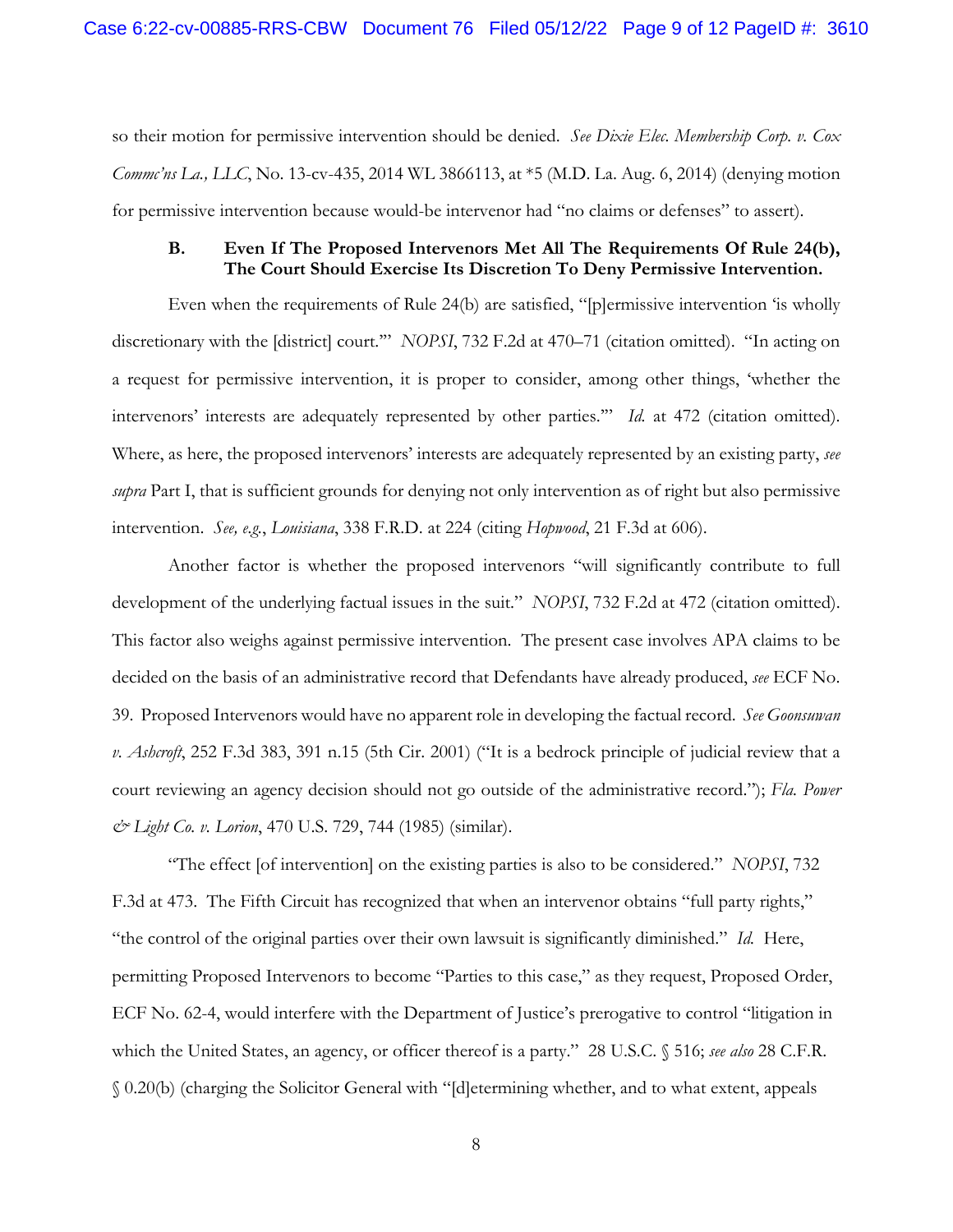so their motion for permissive intervention should be denied. *See Dixie Elec. Membership Corp. v. Cox Commc'ns La., LLC*, No. 13-cv-435, 2014 WL 3866113, at \*5 (M.D. La. Aug. 6, 2014) (denying motion for permissive intervention because would-be intervenor had "no claims or defenses" to assert).

### **B. Even If The Proposed Intervenors Met All The Requirements Of Rule 24(b), The Court Should Exercise Its Discretion To Deny Permissive Intervention.**

Even when the requirements of Rule 24(b) are satisfied, "[p]ermissive intervention 'is wholly discretionary with the [district] court.'" *NOPSI*, 732 F.2d at 470–71 (citation omitted). "In acting on a request for permissive intervention, it is proper to consider, among other things, 'whether the intervenors' interests are adequately represented by other parties.'" *Id.* at 472 (citation omitted). Where, as here, the proposed intervenors' interests are adequately represented by an existing party, *see supra* Part I, that is sufficient grounds for denying not only intervention as of right but also permissive intervention. *See, e.g.*, *Louisiana*, 338 F.R.D. at 224 (citing *Hopwood*, 21 F.3d at 606).

Another factor is whether the proposed intervenors "will significantly contribute to full development of the underlying factual issues in the suit." *NOPSI*, 732 F.2d at 472 (citation omitted). This factor also weighs against permissive intervention. The present case involves APA claims to be decided on the basis of an administrative record that Defendants have already produced, *see* ECF No. 39. Proposed Intervenors would have no apparent role in developing the factual record. *See Goonsuwan v. Ashcroft*, 252 F.3d 383, 391 n.15 (5th Cir. 2001) ("It is a bedrock principle of judicial review that a court reviewing an agency decision should not go outside of the administrative record."); *Fla. Power & Light Co. v. Lorion*, 470 U.S. 729, 744 (1985) (similar).

"The effect [of intervention] on the existing parties is also to be considered." *NOPSI*, 732 F.3d at 473. The Fifth Circuit has recognized that when an intervenor obtains "full party rights," "the control of the original parties over their own lawsuit is significantly diminished." *Id.* Here, permitting Proposed Intervenors to become "Parties to this case," as they request, Proposed Order, ECF No. 62-4, would interfere with the Department of Justice's prerogative to control "litigation in which the United States, an agency, or officer thereof is a party." 28 U.S.C. § 516; *see also* 28 C.F.R. § 0.20(b) (charging the Solicitor General with "[d]etermining whether, and to what extent, appeals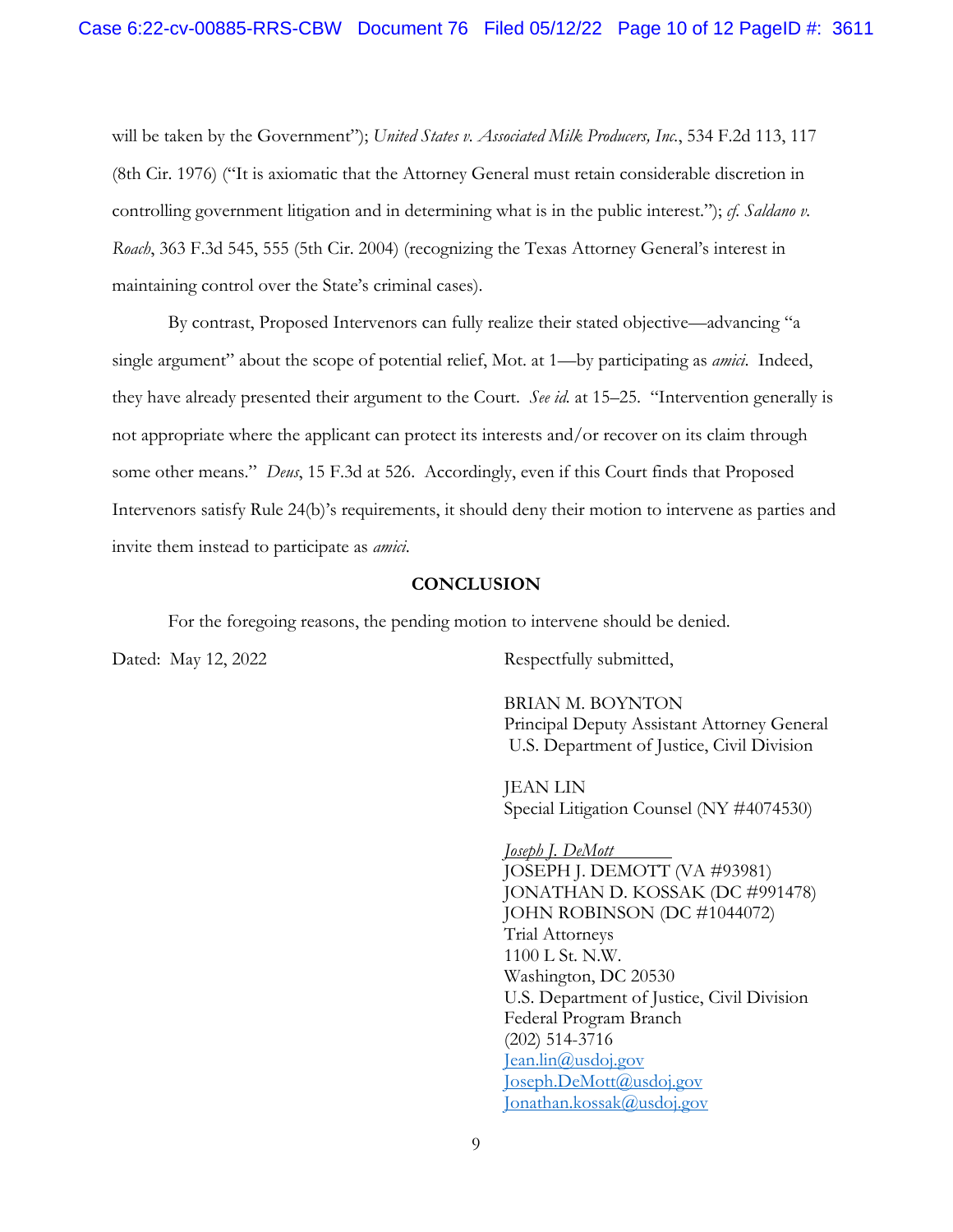will be taken by the Government"); *United States v. Associated Milk Producers, Inc.*, 534 F.2d 113, 117 (8th Cir. 1976) ("It is axiomatic that the Attorney General must retain considerable discretion in controlling government litigation and in determining what is in the public interest."); *cf. Saldano v. Roach*, 363 F.3d 545, 555 (5th Cir. 2004) (recognizing the Texas Attorney General's interest in maintaining control over the State's criminal cases).

By contrast, Proposed Intervenors can fully realize their stated objective—advancing "a single argument" about the scope of potential relief, Mot. at 1—by participating as *amici*. Indeed, they have already presented their argument to the Court. *See id.* at 15–25. "Intervention generally is not appropriate where the applicant can protect its interests and/or recover on its claim through some other means." *Deus*, 15 F.3d at 526. Accordingly, even if this Court finds that Proposed Intervenors satisfy Rule 24(b)'s requirements, it should deny their motion to intervene as parties and invite them instead to participate as *amici*.

### **CONCLUSION**

For the foregoing reasons, the pending motion to intervene should be denied.

Dated: May 12, 2022 Respectfully submitted,

BRIAN M. BOYNTON Principal Deputy Assistant Attorney General U.S. Department of Justice, Civil Division

JEAN LIN Special Litigation Counsel (NY #4074530)

*Joseph J. DeMott*  JOSEPH J. DEMOTT (VA #93981) JONATHAN D. KOSSAK (DC #991478) JOHN ROBINSON (DC #1044072) Trial Attorneys 1100 L St. N.W. Washington, DC 20530 U.S. Department of Justice, Civil Division Federal Program Branch (202) 514-3716 Jean.lin@usdoj.gov Joseph.DeMott@usdoj.gov Jonathan.kossak@usdoj.gov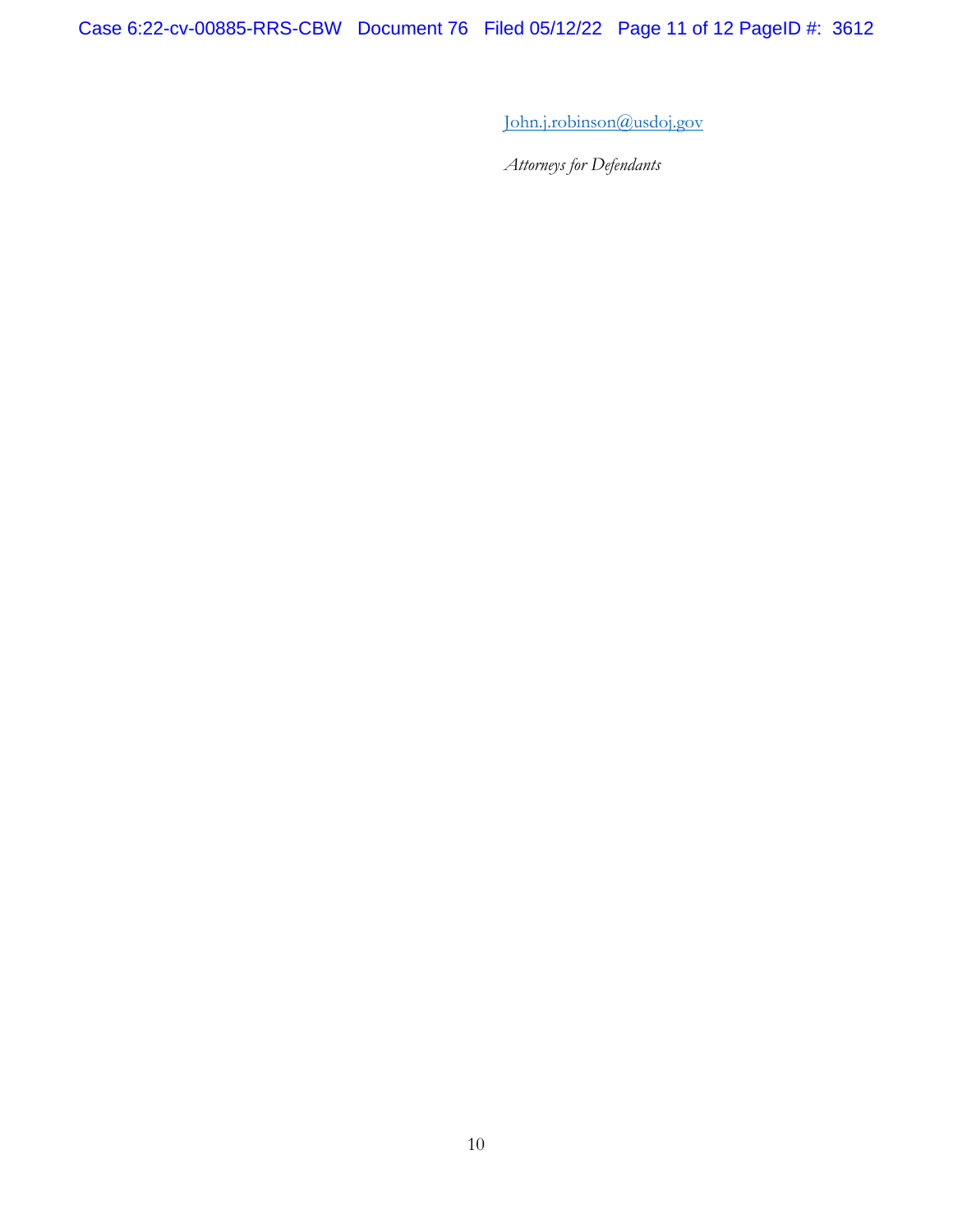Case 6:22-cv-00885-RRS-CBW Document 76 Filed 05/12/22 Page 11 of 12 PageID #: 3612

John.j.robinson@usdoj.gov

*Attorneys for Defendants*